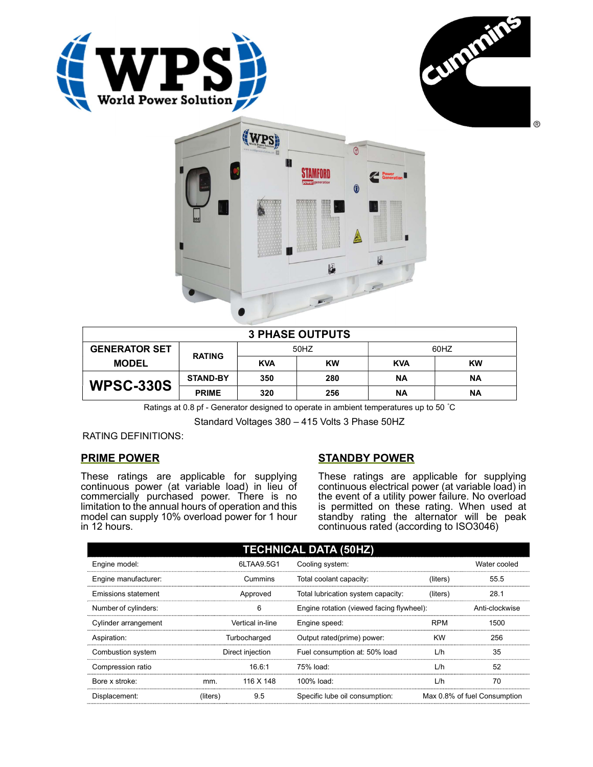





| <b>3 PHASE OUTPUTS</b> |                 |            |           |            |           |  |
|------------------------|-----------------|------------|-----------|------------|-----------|--|
| <b>GENERATOR SET</b>   | <b>RATING</b>   | 50HZ       |           | 60HZ       |           |  |
| <b>MODEL</b>           |                 | <b>KVA</b> | <b>KW</b> | <b>KVA</b> | <b>KW</b> |  |
| <b>WPSC-330S</b>       | <b>STAND-BY</b> | 350        | 280       | <b>NA</b>  | <b>NA</b> |  |
|                        | <b>PRIME</b>    | 320        | 256       | ΝA         | ΝA        |  |

Ratings at 0.8 pf - Generator designed to operate in ambient temperatures up to 50 °C

Standard Voltages 380 – 415 Volts 3 Phase 50HZ

RATING DEFINITIONS:

## PRIME POWER

These ratings are applicable for supplying continuous power (at variable load) in lieu of commercially purchased power. There is no limitation to the annual hours of operation and this model can supply 10% overload power for 1 hour in 12 hours.

# STANDBY POWER

These ratings are applicable for supplying continuous electrical power (at variable load) in the event of a utility power failure. No overload is permitted on these rating. When used at standby rating the alternator will be peak continuous rated (according to ISO3046)

| <b>TECHNICAL DATA (50HZ)</b> |                  |           |                                           |            |                              |  |
|------------------------------|------------------|-----------|-------------------------------------------|------------|------------------------------|--|
| Engine model:                | 6LTAA9.5G1       |           | Cooling system:                           |            | Water cooled                 |  |
| Engine manufacturer:         |                  | Cummins   | Total coolant capacity:                   | (liters)   | 55.5                         |  |
| Emissions statement          | Approved         |           | Total lubrication system capacity:        | (liters)   | 28.1                         |  |
| Number of cylinders:         | 6                |           | Engine rotation (viewed facing flywheel): |            | Anti-clockwise               |  |
| Cylinder arrangement         | Vertical in-line |           | Engine speed:                             | <b>RPM</b> | 1500                         |  |
| Aspiration:                  | Turbocharged     |           | Output rated(prime) power:                | <b>KW</b>  | 256                          |  |
| Combustion system            | Direct injection |           | Fuel consumption at: 50% load             | L/h        | 35                           |  |
| Compression ratio            |                  | 16.6:1    | 75% load:                                 | L/h        | 52                           |  |
| Bore x stroke:               | mm.              | 116 X 148 | 100% load:                                | L/h        | 70                           |  |
| Displacement:                | (liters)         | 9.5       | Specific lube oil consumption:            |            | Max 0.8% of fuel Consumption |  |